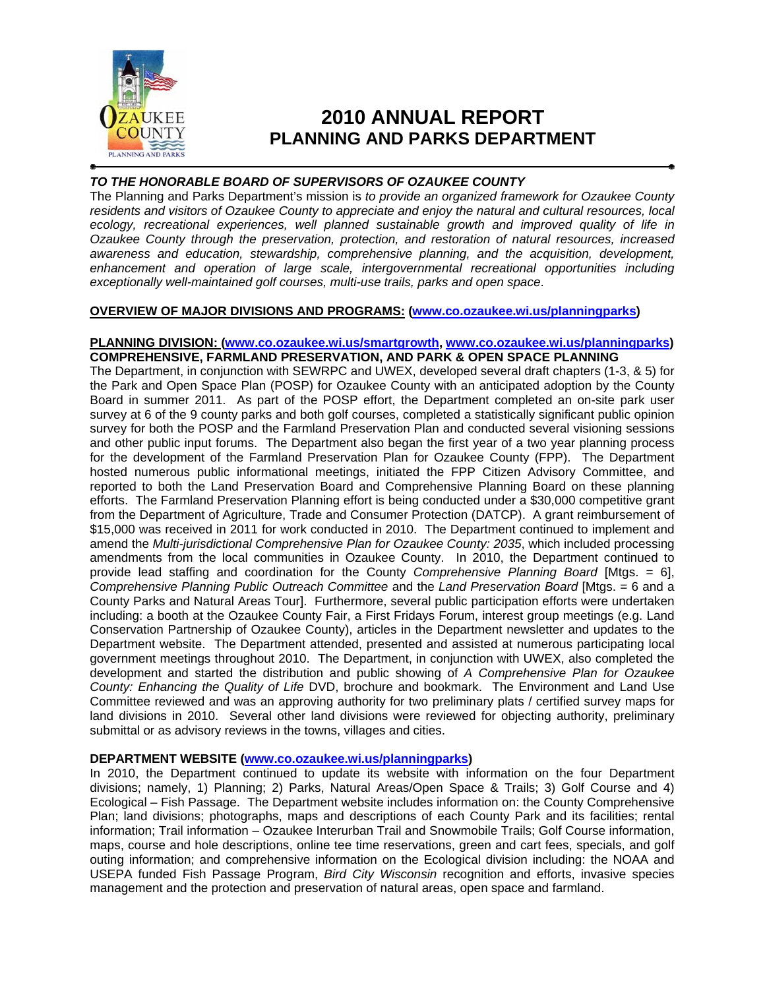

# **2010 ANNUAL REPORT PLANNING AND PARKS DEPARTMENT**

# *TO THE HONORABLE BOARD OF SUPERVISORS OF OZAUKEE COUNTY*

The Planning and Parks Department's mission is *to provide an organized framework for Ozaukee County residents and visitors of Ozaukee County to appreciate and enjoy the natural and cultural resources, local ecology, recreational experiences, well planned sustainable growth and improved quality of life in Ozaukee County through the preservation, protection, and restoration of natural resources, increased awareness and education, stewardship, comprehensive planning, and the acquisition, development,*  enhancement and operation of large scale, intergovernmental recreational opportunities including *exceptionally well-maintained golf courses, multi-use trails, parks and open space*.

# **OVERVIEW OF MAJOR DIVISIONS AND PROGRAMS: (www.co.ozaukee.wi.us/planningparks)**

# **PLANNING DIVISION: (www.co.ozaukee.wi.us/smartgrowth, www.co.ozaukee.wi.us/planningparks) COMPREHENSIVE, FARMLAND PRESERVATION, AND PARK & OPEN SPACE PLANNING**

The Department, in conjunction with SEWRPC and UWEX, developed several draft chapters (1-3, & 5) for the Park and Open Space Plan (POSP) for Ozaukee County with an anticipated adoption by the County Board in summer 2011. As part of the POSP effort, the Department completed an on-site park user survey at 6 of the 9 county parks and both golf courses, completed a statistically significant public opinion survey for both the POSP and the Farmland Preservation Plan and conducted several visioning sessions and other public input forums. The Department also began the first year of a two year planning process for the development of the Farmland Preservation Plan for Ozaukee County (FPP). The Department hosted numerous public informational meetings, initiated the FPP Citizen Advisory Committee, and reported to both the Land Preservation Board and Comprehensive Planning Board on these planning efforts. The Farmland Preservation Planning effort is being conducted under a \$30,000 competitive grant from the Department of Agriculture, Trade and Consumer Protection (DATCP). A grant reimbursement of \$15,000 was received in 2011 for work conducted in 2010. The Department continued to implement and amend the *Multi-jurisdictional Comprehensive Plan for Ozaukee County: 2035*, which included processing amendments from the local communities in Ozaukee County. In 2010, the Department continued to provide lead staffing and coordination for the County *Comprehensive Planning Board* [Mtgs. = 6], *Comprehensive Planning Public Outreach Committee* and the *Land Preservation Board* [Mtgs. = 6 and a County Parks and Natural Areas Tour]. Furthermore, several public participation efforts were undertaken including: a booth at the Ozaukee County Fair, a First Fridays Forum, interest group meetings (e.g. Land Conservation Partnership of Ozaukee County), articles in the Department newsletter and updates to the Department website. The Department attended, presented and assisted at numerous participating local government meetings throughout 2010. The Department, in conjunction with UWEX, also completed the development and started the distribution and public showing of *A Comprehensive Plan for Ozaukee County: Enhancing the Quality of Life* DVD, brochure and bookmark. The Environment and Land Use Committee reviewed and was an approving authority for two preliminary plats / certified survey maps for land divisions in 2010. Several other land divisions were reviewed for objecting authority, preliminary submittal or as advisory reviews in the towns, villages and cities.

## **DEPARTMENT WEBSITE (www.co.ozaukee.wi.us/planningparks)**

In 2010, the Department continued to update its website with information on the four Department divisions; namely, 1) Planning; 2) Parks, Natural Areas/Open Space & Trails; 3) Golf Course and 4) Ecological – Fish Passage. The Department website includes information on: the County Comprehensive Plan; land divisions; photographs, maps and descriptions of each County Park and its facilities; rental information; Trail information – Ozaukee Interurban Trail and Snowmobile Trails; Golf Course information, maps, course and hole descriptions, online tee time reservations, green and cart fees, specials, and golf outing information; and comprehensive information on the Ecological division including: the NOAA and USEPA funded Fish Passage Program, *Bird City Wisconsin* recognition and efforts, invasive species management and the protection and preservation of natural areas, open space and farmland.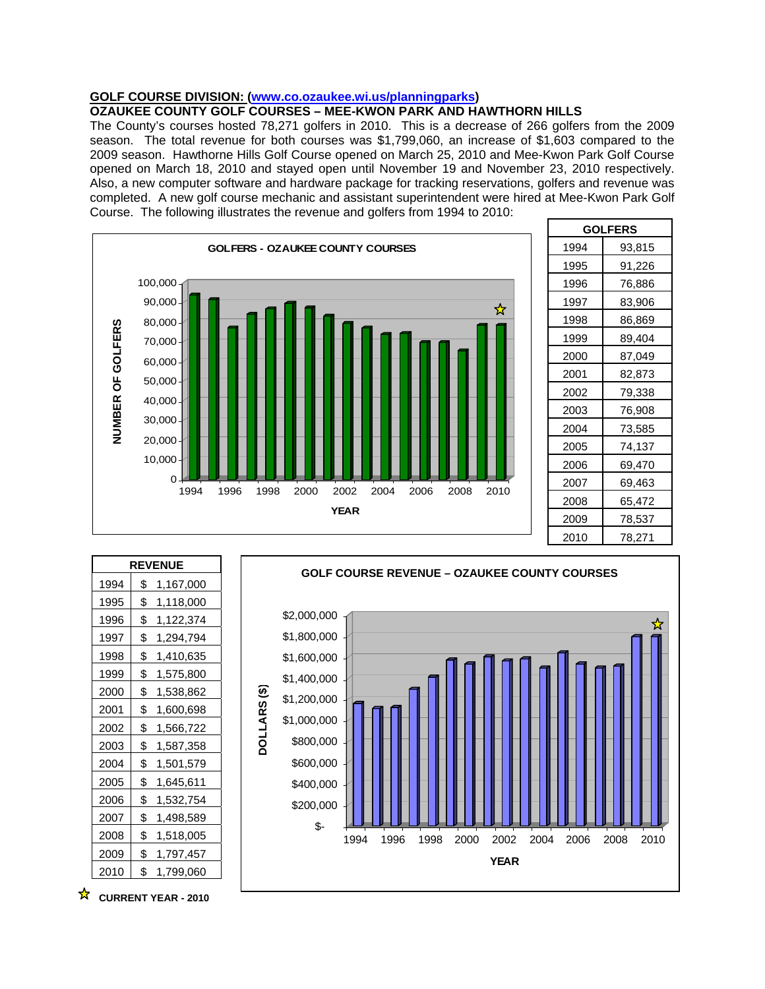# **GOLF COURSE DIVISION: (www.co.ozaukee.wi.us/planningparks)**

# **OZAUKEE COUNTY GOLF COURSES – MEE-KWON PARK AND HAWTHORN HILLS**

The County's courses hosted 78,271 golfers in 2010. This is a decrease of 266 golfers from the 2009 season. The total revenue for both courses was \$1,799,060, an increase of \$1,603 compared to the 2009 season. Hawthorne Hills Golf Course opened on March 25, 2010 and Mee-Kwon Park Golf Course opened on March 18, 2010 and stayed open until November 19 and November 23, 2010 respectively. Also, a new computer software and hardware package for tracking reservations, golfers and revenue was completed. A new golf course mechanic and assistant superintendent were hired at Mee-Kwon Park Golf Course. The following illustrates the revenue and golfers from 1994 to 2010:



| <b>GOLFERS</b> |        |  |  |  |  |
|----------------|--------|--|--|--|--|
| 1994           | 93,815 |  |  |  |  |
| 1995           | 91,226 |  |  |  |  |
| 1996           | 76,886 |  |  |  |  |
| 1997           | 83,906 |  |  |  |  |
| 1998           | 86,869 |  |  |  |  |
| 1999           | 89,404 |  |  |  |  |
| 2000           | 87,049 |  |  |  |  |
| 2001           | 82,873 |  |  |  |  |
| 2002           | 79,338 |  |  |  |  |
| 2003           | 76,908 |  |  |  |  |
| 2004           | 73,585 |  |  |  |  |
| 2005           | 74,137 |  |  |  |  |
| 2006           | 69,470 |  |  |  |  |
| 2007           | 69,463 |  |  |  |  |
| 2008           | 65,472 |  |  |  |  |
| 2009           | 78,537 |  |  |  |  |
| 2010           | 78,271 |  |  |  |  |

| <b>REVENUE</b> |    |           |  |  |  |
|----------------|----|-----------|--|--|--|
| 1994           | \$ | 1,167,000 |  |  |  |
| 1995           | \$ | 1,118,000 |  |  |  |
| 1996           | \$ | 1,122,374 |  |  |  |
| 1997           | \$ | 1,294,794 |  |  |  |
| 1998           | \$ | 1,410,635 |  |  |  |
| 1999           | \$ | 1,575,800 |  |  |  |
| 2000           | \$ | 1,538,862 |  |  |  |
| 2001           | \$ | 1,600,698 |  |  |  |
| 2002           | \$ | 1,566,722 |  |  |  |
| 2003           | \$ | 1,587,358 |  |  |  |
| 2004           | \$ | 1,501,579 |  |  |  |
| 2005           | \$ | 1,645,611 |  |  |  |
| 2006           | \$ | 1,532,754 |  |  |  |
| 2007           | \$ | 1,498,589 |  |  |  |
| 2008           | \$ | 1,518,005 |  |  |  |
| 2009           | \$ | 1,797,457 |  |  |  |
| 2010           | \$ | 1,799,060 |  |  |  |



☆ **CURRENT YEAR - 2010**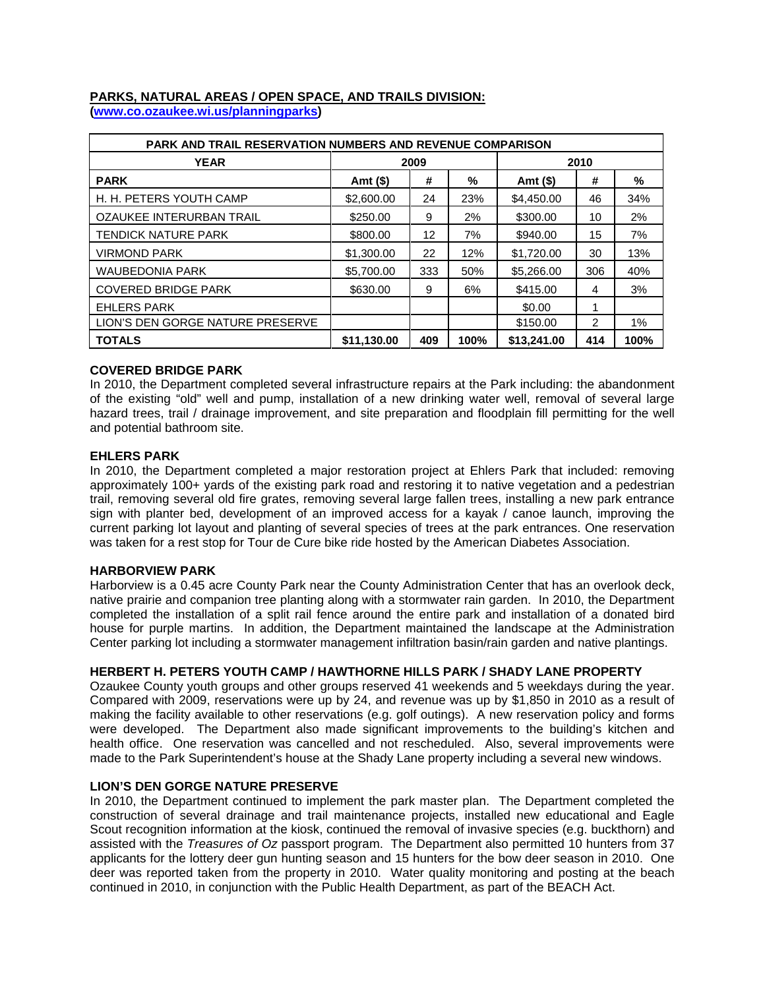# **PARKS, NATURAL AREAS / OPEN SPACE, AND TRAILS DIVISION:**

**(www.co.ozaukee.wi.us/planningparks)** 

| <b>PARK AND TRAIL RESERVATION NUMBERS AND REVENUE COMPARISON</b> |             |     |      |             |     |      |  |  |  |
|------------------------------------------------------------------|-------------|-----|------|-------------|-----|------|--|--|--|
| <b>YEAR</b>                                                      | 2009        |     |      | 2010        |     |      |  |  |  |
| <b>PARK</b>                                                      | Amt (\$)    | #   | %    | Amt (\$)    | #   | %    |  |  |  |
| H. H. PETERS YOUTH CAMP                                          | \$2,600.00  | 24  | 23%  | \$4,450.00  | 46  | 34%  |  |  |  |
| OZAUKEE INTERURBAN TRAIL                                         | \$250.00    | 9   | 2%   | \$300.00    | 10  | 2%   |  |  |  |
| <b>TENDICK NATURE PARK</b>                                       | \$800.00    | 12  | 7%   | \$940.00    | 15  | 7%   |  |  |  |
| <b>VIRMOND PARK</b>                                              | \$1,300.00  | 22  | 12%  | \$1,720.00  | 30  | 13%  |  |  |  |
| <b>WAUBEDONIA PARK</b>                                           | \$5,700.00  | 333 | 50%  | \$5,266.00  | 306 | 40%  |  |  |  |
| <b>COVERED BRIDGE PARK</b>                                       | \$630.00    | 9   | 6%   | \$415.00    | 4   | 3%   |  |  |  |
| <b>EHLERS PARK</b>                                               |             |     |      | \$0.00      |     |      |  |  |  |
| LION'S DEN GORGE NATURE PRESERVE                                 |             |     |      | \$150.00    | 2   | 1%   |  |  |  |
| <b>TOTALS</b>                                                    | \$11,130.00 | 409 | 100% | \$13,241,00 | 414 | 100% |  |  |  |

## **COVERED BRIDGE PARK**

In 2010, the Department completed several infrastructure repairs at the Park including: the abandonment of the existing "old" well and pump, installation of a new drinking water well, removal of several large hazard trees, trail / drainage improvement, and site preparation and floodplain fill permitting for the well and potential bathroom site.

## **EHLERS PARK**

In 2010, the Department completed a major restoration project at Ehlers Park that included: removing approximately 100+ yards of the existing park road and restoring it to native vegetation and a pedestrian trail, removing several old fire grates, removing several large fallen trees, installing a new park entrance sign with planter bed, development of an improved access for a kayak / canoe launch, improving the current parking lot layout and planting of several species of trees at the park entrances. One reservation was taken for a rest stop for Tour de Cure bike ride hosted by the American Diabetes Association.

## **HARBORVIEW PARK**

Harborview is a 0.45 acre County Park near the County Administration Center that has an overlook deck, native prairie and companion tree planting along with a stormwater rain garden. In 2010, the Department completed the installation of a split rail fence around the entire park and installation of a donated bird house for purple martins. In addition, the Department maintained the landscape at the Administration Center parking lot including a stormwater management infiltration basin/rain garden and native plantings.

## **HERBERT H. PETERS YOUTH CAMP / HAWTHORNE HILLS PARK / SHADY LANE PROPERTY**

Ozaukee County youth groups and other groups reserved 41 weekends and 5 weekdays during the year. Compared with 2009, reservations were up by 24, and revenue was up by \$1,850 in 2010 as a result of making the facility available to other reservations (e.g. golf outings). A new reservation policy and forms were developed. The Department also made significant improvements to the building's kitchen and health office. One reservation was cancelled and not rescheduled. Also, several improvements were made to the Park Superintendent's house at the Shady Lane property including a several new windows.

# **LION'S DEN GORGE NATURE PRESERVE**

In 2010, the Department continued to implement the park master plan. The Department completed the construction of several drainage and trail maintenance projects, installed new educational and Eagle Scout recognition information at the kiosk, continued the removal of invasive species (e.g. buckthorn) and assisted with the *Treasures of Oz* passport program. The Department also permitted 10 hunters from 37 applicants for the lottery deer gun hunting season and 15 hunters for the bow deer season in 2010. One deer was reported taken from the property in 2010. Water quality monitoring and posting at the beach continued in 2010, in conjunction with the Public Health Department, as part of the BEACH Act.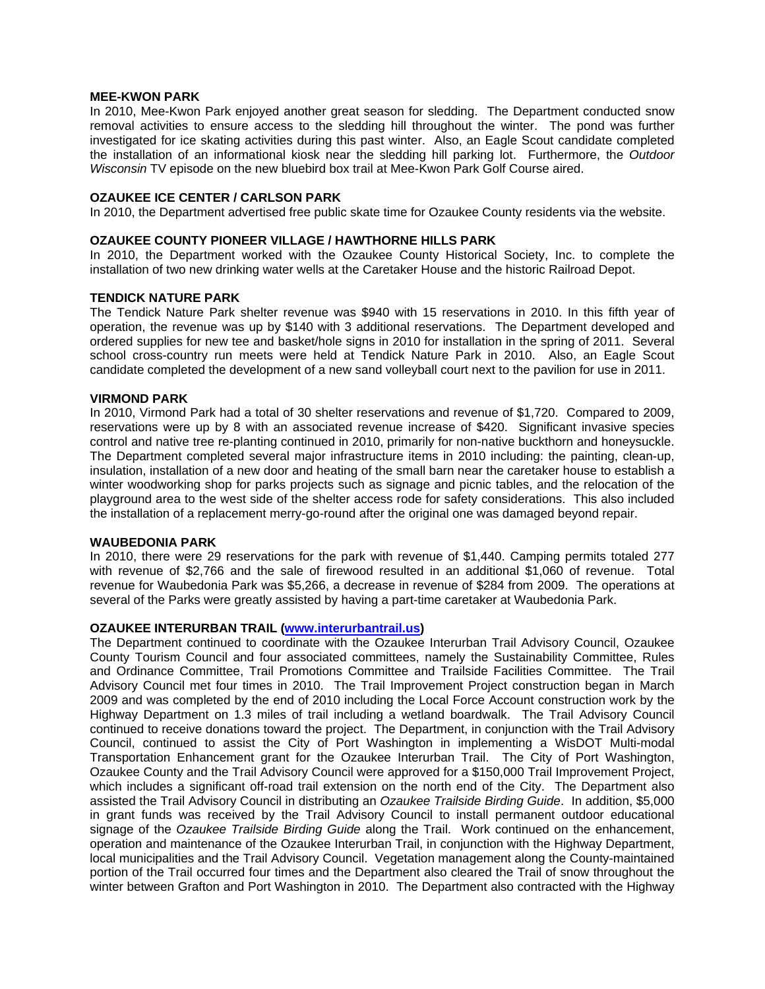#### **MEE-KWON PARK**

In 2010, Mee-Kwon Park enjoyed another great season for sledding. The Department conducted snow removal activities to ensure access to the sledding hill throughout the winter. The pond was further investigated for ice skating activities during this past winter. Also, an Eagle Scout candidate completed the installation of an informational kiosk near the sledding hill parking lot. Furthermore, the *Outdoor Wisconsin* TV episode on the new bluebird box trail at Mee-Kwon Park Golf Course aired.

## **OZAUKEE ICE CENTER / CARLSON PARK**

In 2010, the Department advertised free public skate time for Ozaukee County residents via the website.

## **OZAUKEE COUNTY PIONEER VILLAGE / HAWTHORNE HILLS PARK**

In 2010, the Department worked with the Ozaukee County Historical Society, Inc. to complete the installation of two new drinking water wells at the Caretaker House and the historic Railroad Depot.

#### **TENDICK NATURE PARK**

The Tendick Nature Park shelter revenue was \$940 with 15 reservations in 2010. In this fifth year of operation, the revenue was up by \$140 with 3 additional reservations. The Department developed and ordered supplies for new tee and basket/hole signs in 2010 for installation in the spring of 2011. Several school cross-country run meets were held at Tendick Nature Park in 2010. Also, an Eagle Scout candidate completed the development of a new sand volleyball court next to the pavilion for use in 2011.

#### **VIRMOND PARK**

In 2010, Virmond Park had a total of 30 shelter reservations and revenue of \$1,720. Compared to 2009, reservations were up by 8 with an associated revenue increase of \$420. Significant invasive species control and native tree re-planting continued in 2010, primarily for non-native buckthorn and honeysuckle. The Department completed several major infrastructure items in 2010 including: the painting, clean-up, insulation, installation of a new door and heating of the small barn near the caretaker house to establish a winter woodworking shop for parks projects such as signage and picnic tables, and the relocation of the playground area to the west side of the shelter access rode for safety considerations. This also included the installation of a replacement merry-go-round after the original one was damaged beyond repair.

## **WAUBEDONIA PARK**

In 2010, there were 29 reservations for the park with revenue of \$1,440. Camping permits totaled 277 with revenue of \$2,766 and the sale of firewood resulted in an additional \$1,060 of revenue. Total revenue for Waubedonia Park was \$5,266, a decrease in revenue of \$284 from 2009. The operations at several of the Parks were greatly assisted by having a part-time caretaker at Waubedonia Park.

## **OZAUKEE INTERURBAN TRAIL (www.interurbantrail.us)**

The Department continued to coordinate with the Ozaukee Interurban Trail Advisory Council, Ozaukee County Tourism Council and four associated committees, namely the Sustainability Committee, Rules and Ordinance Committee, Trail Promotions Committee and Trailside Facilities Committee. The Trail Advisory Council met four times in 2010. The Trail Improvement Project construction began in March 2009 and was completed by the end of 2010 including the Local Force Account construction work by the Highway Department on 1.3 miles of trail including a wetland boardwalk. The Trail Advisory Council continued to receive donations toward the project. The Department, in conjunction with the Trail Advisory Council, continued to assist the City of Port Washington in implementing a WisDOT Multi-modal Transportation Enhancement grant for the Ozaukee Interurban Trail. The City of Port Washington, Ozaukee County and the Trail Advisory Council were approved for a \$150,000 Trail Improvement Project, which includes a significant off-road trail extension on the north end of the City. The Department also assisted the Trail Advisory Council in distributing an *Ozaukee Trailside Birding Guide*. In addition, \$5,000 in grant funds was received by the Trail Advisory Council to install permanent outdoor educational signage of the *Ozaukee Trailside Birding Guide* along the Trail. Work continued on the enhancement, operation and maintenance of the Ozaukee Interurban Trail, in conjunction with the Highway Department, local municipalities and the Trail Advisory Council. Vegetation management along the County-maintained portion of the Trail occurred four times and the Department also cleared the Trail of snow throughout the winter between Grafton and Port Washington in 2010. The Department also contracted with the Highway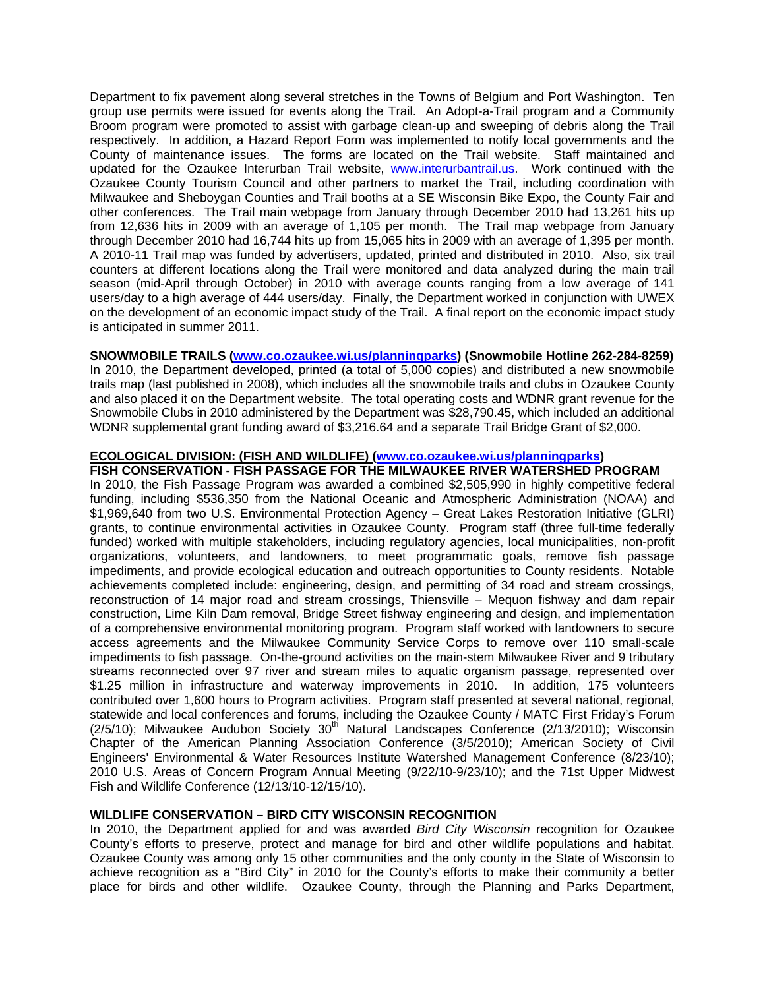Department to fix pavement along several stretches in the Towns of Belgium and Port Washington. Ten group use permits were issued for events along the Trail. An Adopt-a-Trail program and a Community Broom program were promoted to assist with garbage clean-up and sweeping of debris along the Trail respectively. In addition, a Hazard Report Form was implemented to notify local governments and the County of maintenance issues. The forms are located on the Trail website. Staff maintained and updated for the Ozaukee Interurban Trail website, www.interurbantrail.us. Work continued with the Ozaukee County Tourism Council and other partners to market the Trail, including coordination with Milwaukee and Sheboygan Counties and Trail booths at a SE Wisconsin Bike Expo, the County Fair and other conferences. The Trail main webpage from January through December 2010 had 13,261 hits up from 12,636 hits in 2009 with an average of 1,105 per month. The Trail map webpage from January through December 2010 had 16,744 hits up from 15,065 hits in 2009 with an average of 1,395 per month. A 2010-11 Trail map was funded by advertisers, updated, printed and distributed in 2010. Also, six trail counters at different locations along the Trail were monitored and data analyzed during the main trail season (mid-April through October) in 2010 with average counts ranging from a low average of 141 users/day to a high average of 444 users/day. Finally, the Department worked in conjunction with UWEX on the development of an economic impact study of the Trail. A final report on the economic impact study is anticipated in summer 2011.

# **SNOWMOBILE TRAILS (www.co.ozaukee.wi.us/planningparks) (Snowmobile Hotline 262-284-8259)**

In 2010, the Department developed, printed (a total of 5,000 copies) and distributed a new snowmobile trails map (last published in 2008), which includes all the snowmobile trails and clubs in Ozaukee County and also placed it on the Department website. The total operating costs and WDNR grant revenue for the Snowmobile Clubs in 2010 administered by the Department was \$28,790.45, which included an additional WDNR supplemental grant funding award of \$3,216.64 and a separate Trail Bridge Grant of \$2,000.

# **ECOLOGICAL DIVISION: (FISH AND WILDLIFE) (www.co.ozaukee.wi.us/planningparks)**

**FISH CONSERVATION - FISH PASSAGE FOR THE MILWAUKEE RIVER WATERSHED PROGRAM**  In 2010, the Fish Passage Program was awarded a combined \$2,505,990 in highly competitive federal funding, including \$536,350 from the National Oceanic and Atmospheric Administration (NOAA) and \$1,969,640 from two U.S. Environmental Protection Agency – Great Lakes Restoration Initiative (GLRI) grants, to continue environmental activities in Ozaukee County. Program staff (three full-time federally funded) worked with multiple stakeholders, including regulatory agencies, local municipalities, non-profit organizations, volunteers, and landowners, to meet programmatic goals, remove fish passage impediments, and provide ecological education and outreach opportunities to County residents. Notable achievements completed include: engineering, design, and permitting of 34 road and stream crossings, reconstruction of 14 major road and stream crossings, Thiensville – Mequon fishway and dam repair construction, Lime Kiln Dam removal, Bridge Street fishway engineering and design, and implementation of a comprehensive environmental monitoring program. Program staff worked with landowners to secure access agreements and the Milwaukee Community Service Corps to remove over 110 small-scale impediments to fish passage. On-the-ground activities on the main-stem Milwaukee River and 9 tributary streams reconnected over 97 river and stream miles to aquatic organism passage, represented over \$1.25 million in infrastructure and waterway improvements in 2010. In addition, 175 volunteers contributed over 1,600 hours to Program activities. Program staff presented at several national, regional, statewide and local conferences and forums, including the Ozaukee County / MATC First Friday's Forum (2/5/10); Milwaukee Audubon Society  $30<sup>th</sup>$  Natural Landscapes Conference (2/13/2010): Wisconsin Chapter of the American Planning Association Conference (3/5/2010); American Society of Civil Engineers' Environmental & Water Resources Institute Watershed Management Conference (8/23/10); 2010 U.S. Areas of Concern Program Annual Meeting (9/22/10-9/23/10); and the 71st Upper Midwest Fish and Wildlife Conference (12/13/10-12/15/10).

# **WILDLIFE CONSERVATION – BIRD CITY WISCONSIN RECOGNITION**

In 2010, the Department applied for and was awarded *Bird City Wisconsin* recognition for Ozaukee County's efforts to preserve, protect and manage for bird and other wildlife populations and habitat. Ozaukee County was among only 15 other communities and the only county in the State of Wisconsin to achieve recognition as a "Bird City" in 2010 for the County's efforts to make their community a better place for birds and other wildlife. Ozaukee County, through the Planning and Parks Department,